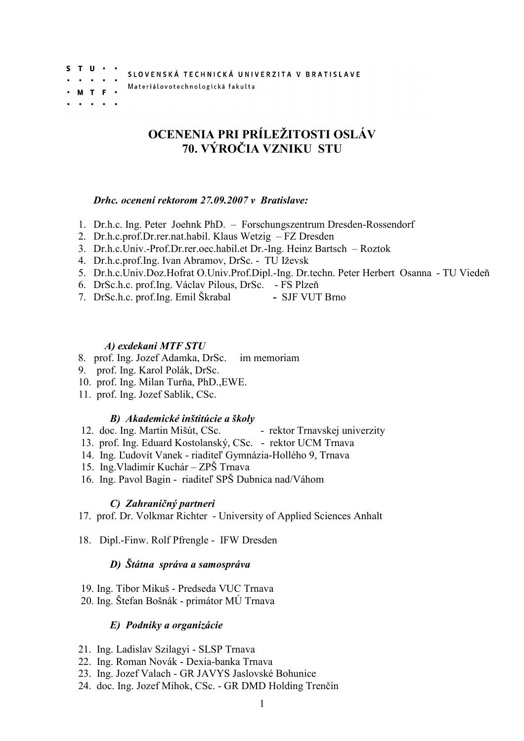SLOVENSKÁ TECHNICKÁ UNIVERZITA V BRATISLAVE

Materiálovotechnologická fakulta

 $S$  T U  $\cdot$   $\cdot$ 

M T F

# OCENENIA PRI PRÍLEŽITOSTI OSLÁV 70. VÝROČIA VZNIKU STU

#### Drhc. ocenení rektorom 27.09.2007 v Bratislave:

- 1. Dr.h.c. Ing. Peter Joehnk PhD. Forschungszentrum Dresden-Rossendorf
- 2. Dr.h.c.prof.Dr.rer.nat.habil. Klaus Wetzig FZ Dresden
- 3. Dr.h.c.Univ.-Prof.Dr.rer.oec.habil.et Dr.-Ing. Heinz Bartsch Roztok
- 4. Dr.h.c.prof.Ing. Ivan Abramov, DrSc. TU Iževsk
- 5. Dr.h.c.Univ.Doz.Hofrat O.Univ.Prof.Dipl.-Ing. Dr.techn. Peter Herbert Osanna TU Viedeň
- 6. DrSc.h.c. prof.Ing. Václav Pilous, DrSc. FS Plzeň
- 7. DrSc.h.c. prof.Ing. Emil Škrabal SJF VUT Brno

## A) exdekani MTF STU

- 8. prof. Ing. Jozef Adamka, DrSc. im memoriam
- 9. prof. Ing. Karol Polák, DrSc.
- 10. prof. Ing. Milan Turňa, PhD.,EWE.
- 11. prof. Ing. Jozef Sablik, CSc.

## B) Akademické inštitúcie a školy

- 12. doc. Ing. Martin Mišút, CSc. rektor Trnavskej univerzity
- 13. prof. Ing. Eduard Kostolanský, CSc. rektor UCM Trnava
- 14. Ing. Ľudovít Vanek riaditeľ Gymnázia-Hollého 9, Trnava
- 15. Ing.Vladimír Kuchár ZPŠ Trnava
- 16. Ing. Pavol Bagin riaditeľ SPŠ Dubnica nad/Váhom

## C) Zahraničný partneri

17. prof. Dr. Volkmar Richter - University of Applied Sciences Anhalt

18. Dipl.-Finw. Rolf Pfrengle - IFW Dresden

## D) Štátna správa a samospráva

- 19. Ing. Tibor Mikuš Predseda VUC Trnava
- 20. Ing. Štefan Bošnák primátor MÚ Trnava

## E) Podniky a organizácie

- 21. Ing. Ladislav Szilagyi SLSP Trnava
- 22. Ing. Roman Novák Dexia-banka Trnava
- 23. Ing. Jozef Valach GR JAVYS Jaslovské Bohunice
- 24. doc. Ing. Jozef Mihok, CSc. GR DMD Holding Trenčín